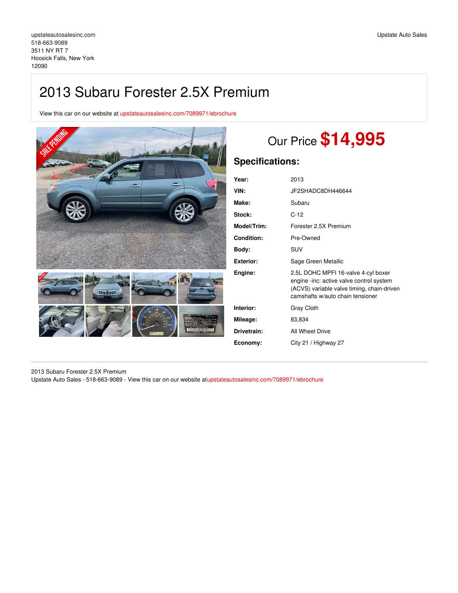## 2013 Subaru Forester 2.5X Premium

View this car on our website at [upstateautosalesinc.com/7089971/ebrochure](https://upstateautosalesinc.com/vehicle/7089971/2013-subaru-forester-2-5x-premium-hoosick-falls-new-york-12090/7089971/ebrochure)



# Our Price **\$14,995**

## **Specifications:**

| Year:             | 2013                                                                                                                                                              |
|-------------------|-------------------------------------------------------------------------------------------------------------------------------------------------------------------|
| VIN:              | JF2SHADC8DH446644                                                                                                                                                 |
| Make:             | Subaru                                                                                                                                                            |
| Stock:            | $C-12$                                                                                                                                                            |
| Model/Trim:       | Forester 2.5X Premium                                                                                                                                             |
| <b>Condition:</b> | Pre-Owned                                                                                                                                                         |
| Body:             | <b>SUV</b>                                                                                                                                                        |
| Exterior:         | Sage Green Metallic                                                                                                                                               |
| Engine:           | 2.5L DOHC MPFI 16-valve 4-cyl boxer<br>engine -inc: active valve control system<br>(ACVS) variable valve timing, chain-driven<br>camshafts w/auto chain tensioner |
| Interior:         | Gray Cloth                                                                                                                                                        |
| Mileage:          | 83,834                                                                                                                                                            |
| Drivetrain:       | All Wheel Drive                                                                                                                                                   |
| Economy:          | City 21 / Highway 27                                                                                                                                              |
|                   |                                                                                                                                                                   |

2013 Subaru Forester 2.5X Premium

Upstate Auto Sales - 518-663-9089 - View this car on our website a[tupstateautosalesinc.com/7089971/ebrochure](https://upstateautosalesinc.com/vehicle/7089971/2013-subaru-forester-2-5x-premium-hoosick-falls-new-york-12090/7089971/ebrochure)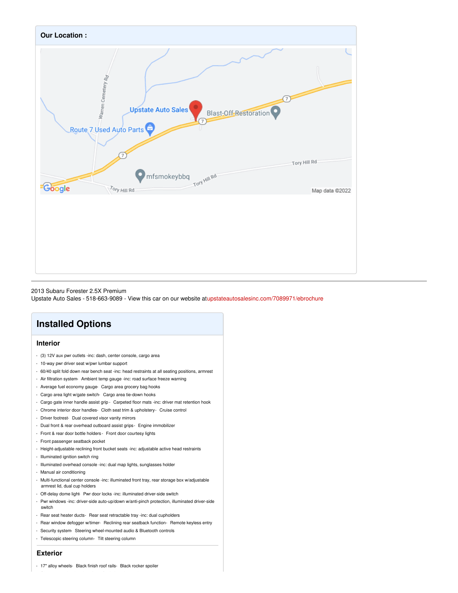

#### 2013 Subaru Forester 2.5X Premium

Upstate Auto Sales - 518-663-9089 - View this car on our website a[tupstateautosalesinc.com/7089971/ebrochure](https://upstateautosalesinc.com/vehicle/7089971/2013-subaru-forester-2-5x-premium-hoosick-falls-new-york-12090/7089971/ebrochure)

## **Installed Options**

## **Interior**

- (3) 12V aux pwr outlets -inc: dash, center console, cargo area
- 10-way pwr driver seat w/pwr lumbar support
- 60/40 split fold down rear bench seat -inc: head restraints at all seating positions, armrest
- Air filtration system- Ambient temp gauge -inc: road surface freeze warning
- Average fuel economy gauge- Cargo area grocery bag hooks
- Cargo area light w/gate switch- Cargo area tie-down hooks
- Cargo gate inner handle assist grip Carpeted floor mats -inc: driver mat retention hook
- Chrome interior door handles- Cloth seat trim & upholstery- Cruise control
- Driver footrest- Dual covered visor vanity mirrors
- Dual front & rear overhead outboard assist grips- Engine immobilizer
- Front & rear door bottle holders Front door courtesy lights
- Front passenger seatback pocket
- Height-adjustable reclining front bucket seats -inc: adjustable active head restraints
- Illuminated ignition switch ring
- Illuminated overhead console -inc: dual map lights, sunglasses holder
- Manual air conditioning
- Multi-functional center console -inc: illuminated front tray, rear storage box w/adjustable armrest lid, dual cup holders
- Off-delay dome light Pwr door locks -inc: illuminated driver-side switch
- Pwr windows -inc: driver-side auto-up/down w/anti-pinch protection, illuminated driver-side switch
- Rear seat heater ducts- Rear seat retractable tray -inc: dual cupholders
- Rear window defogger w/timer- Reclining rear seatback function- Remote keyless entry
- Security system- Steering wheel-mounted audio & Bluetooth controls
- Telescopic steering column- Tilt steering column

## **Exterior**

- 17" alloy wheels- Black finish roof rails- Black rocker spoiler